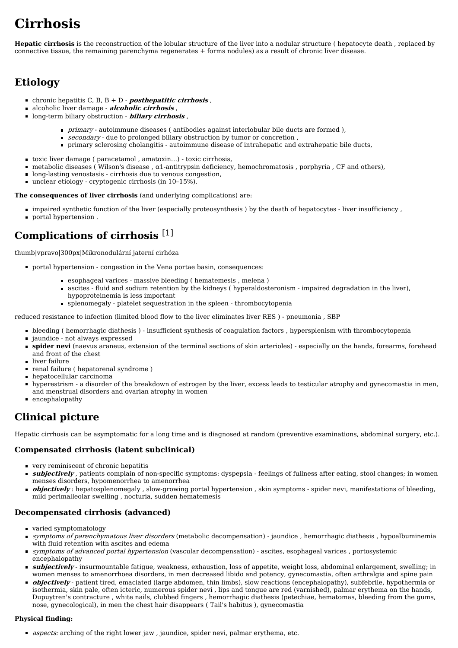# **Cirrhosis**

**Hepatic cirrhosis** is the reconstruction of the lobular structure of the [liver](https://www.wikilectures.eu/index.php?title=Liver&action=edit&redlink=1) into a [nodular](https://www.wikilectures.eu/index.php?title=Nodular&action=edit&redlink=1) structure ( [hepatocyte](https://www.wikilectures.eu/w/Hepatocyte) death , replaced by connective tissue, the remaining parenchyma regenerates + forms nodules) as a result of chronic liver disease.

# **Etiology**

- **c**hronic [hepatitis](https://www.wikilectures.eu/index.php?title=Hepatitis&action=edit&redlink=1) C, B, B + D **posthepatitic cirrhosis** ,
- alcoholic liver damage **alcoholic cirrhosis** ,
- long-term biliary [obstruction](https://www.wikilectures.eu/index.php?title=Biliary_obstruction&action=edit&redlink=1) **biliary cirrhosis** ,
	- primary [autoimmune](https://www.wikilectures.eu/index.php?title=Autoimmune_diseases&action=edit&redlink=1) diseases ( [antibodies](https://www.wikilectures.eu/index.php?title=Antibody&action=edit&redlink=1) against interlobular bile ducts are formed ),
	- secondary due to prolonged biliary obstruction by tumor or [concretion](https://www.wikilectures.eu/index.php?title=Concretion&action=edit&redlink=1) ,
	- primary sclerosing [cholangitis](https://www.wikilectures.eu/index.php?title=Primary_sclerosing_cholangitis&action=edit&redlink=1) autoimmune disease of intrahepatic and extrahepatic bile ducts,  $\blacksquare$
- toxic liver damage ( paracetamol , amatoxin…) toxic cirrhosis,
- $\blacksquare$  metabolic diseases ( [Wilson's](https://www.wikilectures.eu/w/Wilson%27s_disease) disease ,  $\alpha$ 1-antitrypsin deficiency, [hemochromatosis](https://www.wikilectures.eu/index.php?title=Hemochromatosis&action=edit&redlink=1) , [porphyria](https://www.wikilectures.eu/index.php?title=Porphyria&action=edit&redlink=1) , [CF](https://www.wikilectures.eu/w/Cystic_fibrosis) and others),
- long-lasting venostasis cirrhosis due to venous congestion,
- unclear etiology cryptogenic cirrhosis (in 10-15%).

**The consequences of liver cirrhosis** (and underlying complications) are:

- impaired synthetic function of the liver (especially [proteosynthesis](https://www.wikilectures.eu/index.php?title=Proteosynthesis&action=edit&redlink=1)) by the death of hepatocytes liver [insufficiency](https://www.wikilectures.eu/index.php?title=Liver_insufficiency&action=edit&redlink=1),
- portal [hypertension](https://www.wikilectures.eu/w/Portal_hypertension) .

# **Complications of cirrhosis** [\[1\]](https://www.wikilectures.eu/index.php?curid=1854&printable=yes#cite_note-1)

[thumb|vpravo|300px|Mikronodulární](https://www.wikilectures.eu/index.php?title=Soubor:Cirrosi_micronodular.1427.jpg&action=edit&redlink=1) jaterní cirhóza

- portal [hypertension](https://www.wikilectures.eu/w/Portal_hypertension) congestion in the Vena portae basin, consequences:
	- [esophageal](https://www.wikilectures.eu/w/Esophageal_varices) varices massive [bleeding](https://www.wikilectures.eu/index.php?title=Bleeding&action=edit&redlink=1) ( [hematemesis](https://www.wikilectures.eu/index.php?title=Hematemesis&action=edit&redlink=1) , [melena](https://www.wikilectures.eu/index.php?title=Melena&action=edit&redlink=1) )
	- [ascites](https://www.wikilectures.eu/w/Ascites) fluid and sodium retention by the [kidneys](https://www.wikilectures.eu/index.php?title=Kidneys&action=edit&redlink=1) ( [hyperaldosteronism](https://www.wikilectures.eu/w/Hyperaldosteronism) impaired degradation in the liver), hypoproteinemia is less important
	- [splenomegaly](https://www.wikilectures.eu/index.php?title=Splenomegaly&action=edit&redlink=1) [platelet](https://www.wikilectures.eu/index.php?title=Platelet&action=edit&redlink=1) sequestration in the [spleen](https://www.wikilectures.eu/index.php?title=Spleen&action=edit&redlink=1) [thrombocytopenia](https://www.wikilectures.eu/w/Thrombocytopenia)

reduced resistance to infection (limited blood flow to the liver eliminates liver [RES](https://www.wikilectures.eu/index.php?title=RES&action=edit&redlink=1) ) - [pneumonia](https://www.wikilectures.eu/index.php?title=Pneumonia&action=edit&redlink=1) , [SBP](https://www.wikilectures.eu/index.php?title=SBP&action=edit&redlink=1)

- bleeding ( hemorrhagic diathesis ) insufficient synthesis of coagulation factors , hypersplenism with thrombocytopenia
- [jaundice](https://www.wikilectures.eu/w/Jaundice) not always expressed
- **spider nevi** (naevus araneus, extension of the terminal sections of skin arterioles) especially on the hands, forearms, forehead and front of the chest
- liver [failure](https://www.wikilectures.eu/index.php?title=Liver_failure&action=edit&redlink=1)
- renal [failure](https://www.wikilectures.eu/index.php?title=Renal_failure&action=edit&redlink=1) ( [hepatorenal](https://www.wikilectures.eu/index.php?title=Hepatorenal_syndrome&action=edit&redlink=1) syndrome )
- [hepatocellular](https://www.wikilectures.eu/index.php?title=Hepatocellular_carcinoma&action=edit&redlink=1) carcinoma
- [hyperestrism](https://www.wikilectures.eu/index.php?title=Hyperestrism&action=edit&redlink=1) a disorder of the breakdown of [estrogen](https://www.wikilectures.eu/index.php?title=Estrogen&action=edit&redlink=1) by the liver, excess leads to [testicular](https://www.wikilectures.eu/index.php?title=Testicular_atrophy&action=edit&redlink=1) atrophy and [gynecomastia](https://www.wikilectures.eu/index.php?title=Gynecomastia&action=edit&redlink=1) in men, and [menstrual](https://www.wikilectures.eu/index.php?title=Menstrual&action=edit&redlink=1) disorders and [ovarian](https://www.wikilectures.eu/index.php?title=Ovarian&action=edit&redlink=1) atrophy in women
- [encephalopathy](https://www.wikilectures.eu/w/Encephalopathy)

# **Clinical picture**

Hepatic cirrhosis can be asymptomatic for a long time and is diagnosed at random (preventive examinations, abdominal surgery, etc.).

#### **Compensated cirrhosis (latent subclinical)**

- very reminiscent of chronic [hepatitis](https://www.wikilectures.eu/index.php?title=Hepatitis&action=edit&redlink=1)
- **subjectively** , patients complain of non-specific symptoms: [dyspepsia](https://www.wikilectures.eu/index.php?title=Dyspepsia&action=edit&redlink=1) feelings of fullness after eating, stool changes; in women [menses](https://www.wikilectures.eu/index.php?title=Menses&action=edit&redlink=1) disorders, hypomenorrhea to [amenorrhea](https://www.wikilectures.eu/index.php?title=Amenorrhea&action=edit&redlink=1)
- **objectively**: [hepatosplenomegaly](https://www.wikilectures.eu/index.php?title=Hepatosplenomegaly&action=edit&redlink=1), slow-growing portal [hypertension](https://www.wikilectures.eu/w/Portal_hypertension), skin symptoms spider nevi, manifestations of bleeding, mild perimalleolar [swelling](https://www.wikilectures.eu/index.php?title=Swelling&action=edit&redlink=1) , nocturia, sudden hematemesis

#### **Decompensated cirrhosis (advanced)**

- varied symptomatology
- symptoms of parenchymatous liver disorders (metabolic decompensation) [jaundice](https://www.wikilectures.eu/w/Jaundice) , [hemorrhagic](https://www.wikilectures.eu/index.php?title=Hemorrhagic_diathesis&action=edit&redlink=1) diathesis , [hypoalbuminemia](https://www.wikilectures.eu/index.php?title=Hypoalbuminemia&action=edit&redlink=1) with fluid retention with ascites and edema
- symptoms of advanced portal hypertension (vascular decompensation) ascites, [esophageal](https://www.wikilectures.eu/w/Esophageal_varices) varices , portosystemic [encephalopathy](https://www.wikilectures.eu/w/Encephalopathy)
- **subjectively** insurmountable fatigue, weakness, exhaustion, loss of appetite, weight loss, abdominal enlargement, swelling; in women menses to amenorrhoea disorders, in men decreased libido and potency, gynecomastia, often arthralgia and [spine](https://www.wikilectures.eu/index.php?title=Spine_pain&action=edit&redlink=1) pain
- *objectively* patient tired, emaciated (large abdomen, thin limbs), slow reactions (encephalopathy), subfebrile, hypothermia or isothermia, skin pale, often icteric, numerous spider nevi , lips and tongue are red (varnished), palmar erythema on the hands, [Dupuytren's](https://www.wikilectures.eu/index.php?title=Dupuytren%27s_contracture&action=edit&redlink=1) contracture , white nails, [clubbed](https://www.wikilectures.eu/w/Clubbed_fingers) fingers , hemorrhagic diathesis (petechiae, hematomas, bleeding from the gums, nose, gynecological), in men the chest hair disappears ( Tail's habitus ), gynecomastia

#### **Physical finding:**

**aspects:** arching of the right lower jaw, jaundice, spider nevi, palmar erythema, etc.